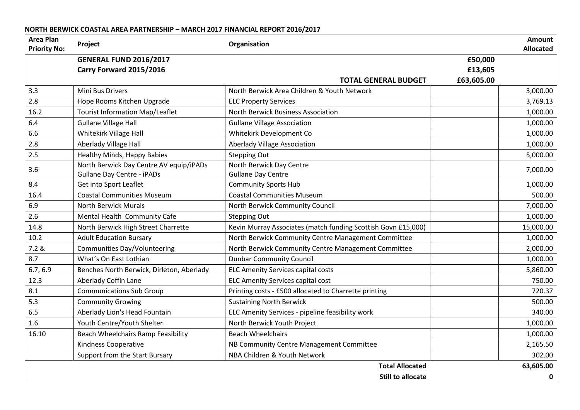## **NORTH BERWICK COASTAL AREA PARTNERSHIP – MARCH 2017 FINANCIAL REPORT 2016/2017**

| <b>Area Plan</b><br><b>Priority No:</b> | Project                                   | Organisation                                                  |             | Amount<br><b>Allocated</b> |
|-----------------------------------------|-------------------------------------------|---------------------------------------------------------------|-------------|----------------------------|
|                                         | <b>GENERAL FUND 2016/2017</b>             |                                                               | £50,000     |                            |
|                                         | Carry Forward 2015/2016                   |                                                               | £13,605     |                            |
|                                         |                                           | <b>TOTAL GENERAL BUDGET</b>                                   | £63,605.00  |                            |
| 3.3                                     | <b>Mini Bus Drivers</b>                   | North Berwick Area Children & Youth Network                   |             | 3,000.00                   |
| 2.8                                     | Hope Rooms Kitchen Upgrade                | <b>ELC Property Services</b>                                  |             | 3,769.13                   |
| 16.2                                    | <b>Tourist Information Map/Leaflet</b>    | North Berwick Business Association                            |             | 1,000.00                   |
| 6.4                                     | <b>Gullane Village Hall</b>               | <b>Gullane Village Association</b>                            |             | 1,000.00                   |
| 6.6                                     | Whitekirk Village Hall                    | Whitekirk Development Co                                      |             | 1,000.00                   |
| 2.8                                     | Aberlady Village Hall                     | Aberlady Village Association                                  |             | 1,000.00                   |
| 2.5                                     | Healthy Minds, Happy Babies               | <b>Stepping Out</b>                                           |             | 5,000.00                   |
| 3.6                                     | North Berwick Day Centre AV equip/iPADs   | North Berwick Day Centre                                      |             | 7,000.00                   |
|                                         | <b>Gullane Day Centre - iPADs</b>         | <b>Gullane Day Centre</b>                                     |             |                            |
| 8.4                                     | Get into Sport Leaflet                    | <b>Community Sports Hub</b>                                   |             | 1,000.00                   |
| 16.4                                    | <b>Coastal Communities Museum</b>         | <b>Coastal Communities Museum</b>                             |             | 500.00                     |
| 6.9                                     | <b>North Berwick Murals</b>               | North Berwick Community Council                               |             | 7,000.00                   |
| 2.6                                     | Mental Health Community Cafe              | <b>Stepping Out</b>                                           |             | 1,000.00                   |
| 14.8                                    | North Berwick High Street Charrette       | Kevin Murray Associates (match funding Scottish Govn £15,000) |             | 15,000.00                  |
| 10.2                                    | <b>Adult Education Bursary</b>            | North Berwick Community Centre Management Committee           |             | 1,000.00                   |
| 7.2 &                                   | <b>Communities Day/Volunteering</b>       | North Berwick Community Centre Management Committee           |             | 2,000.00                   |
| 8.7                                     | What's On East Lothian                    | <b>Dunbar Community Council</b>                               |             | 1,000.00                   |
| 6.7, 6.9                                | Benches North Berwick, Dirleton, Aberlady | <b>ELC Amenity Services capital costs</b>                     |             | 5,860.00                   |
| 12.3                                    | Aberlady Coffin Lane                      | <b>ELC Amenity Services capital cost</b>                      |             | 750.00                     |
| 8.1                                     | <b>Communications Sub Group</b>           | Printing costs - £500 allocated to Charrette printing         |             | 720.37                     |
| 5.3                                     | <b>Community Growing</b>                  | <b>Sustaining North Berwick</b>                               |             | 500.00                     |
| 6.5                                     | Aberlady Lion's Head Fountain             | ELC Amenity Services - pipeline feasibility work              |             | 340.00                     |
| 1.6                                     | Youth Centre/Youth Shelter                | North Berwick Youth Project                                   |             | 1,000.00                   |
| 16.10                                   | Beach Wheelchairs Ramp Feasibility        | <b>Beach Wheelchairs</b>                                      |             | 1,000.00                   |
|                                         | Kindness Cooperative                      | NB Community Centre Management Committee                      |             | 2,165.50                   |
|                                         | Support from the Start Bursary            | NBA Children & Youth Network                                  |             | 302.00                     |
|                                         |                                           | <b>Total Allocated</b>                                        |             | 63,605.00                  |
|                                         |                                           |                                                               | $\mathbf 0$ |                            |